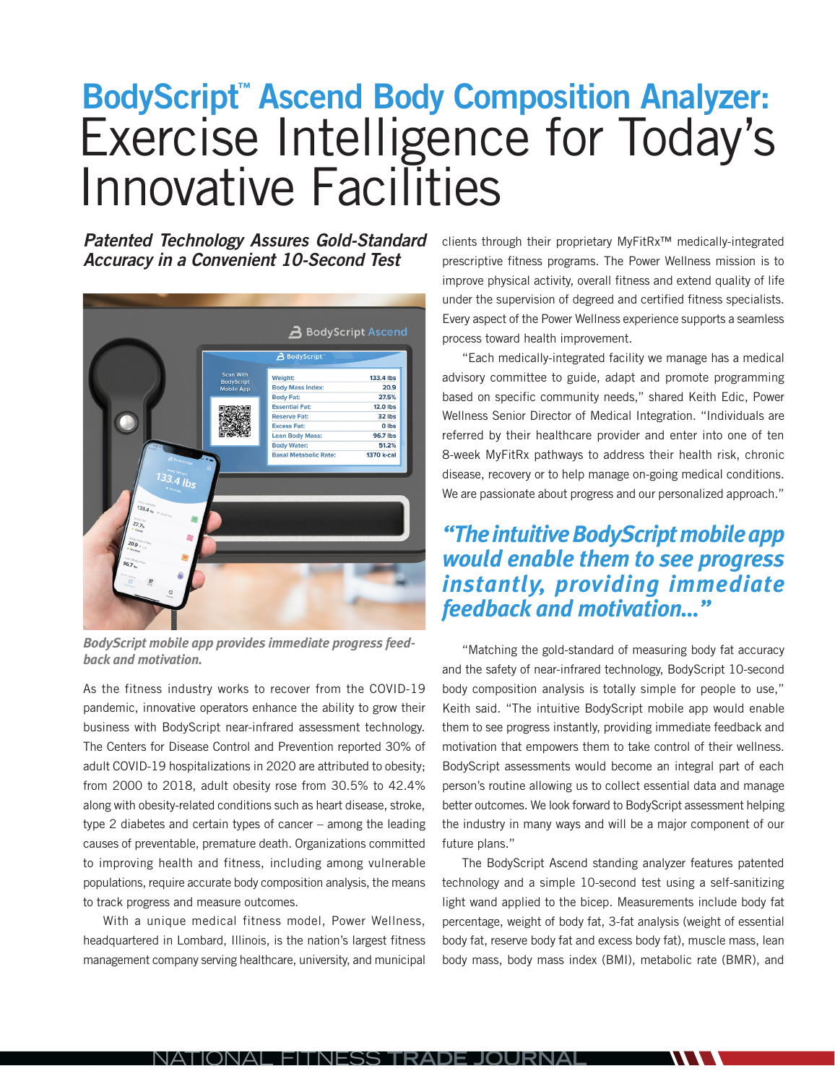## **BodyScript™ Ascend Body Composition Analyzer:** Exercise Intelligence for Today's Innovative Facilities

**Patented Technology Assures Gold-Standard Accuracy in a Convenient 10-Second Test**



*BodyScript mobile app provides immediate progress feedback and motivation.*

As the fitness industry works to recover from the COVID-19 pandemic, innovative operators enhance the ability to grow their business with BodyScript near-infrared assessment technology. The Centers for Disease Control and Prevention reported 30% of adult COVID-19 hospitalizations in 2020 are attributed to obesity; from 2000 to 2018, adult obesity rose from 30.5% to 42.4% along with obesity-related conditions such as heart disease, stroke, type 2 diabetes and certain types of cancer – among the leading causes of preventable, premature death. Organizations committed to improving health and fitness, including among vulnerable populations, require accurate body composition analysis, the means to track progress and measure outcomes.

With a unique medical fitness model, Power Wellness, headquartered in Lombard, Illinois, is the nation's largest fitness management company serving healthcare, university, and municipal clients through their proprietary MyFitRx™ medically-integrated prescriptive fitness programs. The Power Wellness mission is to improve physical activity, overall fitness and extend quality of life under the supervision of degreed and certified fitness specialists. Every aspect of the Power Wellness experience supports a seamless process toward health improvement.

"Each medically-integrated facility we manage has a medical advisory committee to guide, adapt and promote programming based on specific community needs," shared Keith Edic, Power Wellness Senior Director of Medical Integration. "Individuals are referred by their healthcare provider and enter into one of ten 8-week MyFitRx pathways to address their health risk, chronic disease, recovery or to help manage on-going medical conditions. We are passionate about progress and our personalized approach."

## *"The intuitive BodyScript mobile app would enable them to see progress instantly, providing immediate feedback and motivation…"*

"Matching the gold-standard of measuring body fat accuracy and the safety of near-infrared technology, BodyScript 10-second body composition analysis is totally simple for people to use," Keith said. "The intuitive BodyScript mobile app would enable them to see progress instantly, providing immediate feedback and motivation that empowers them to take control of their wellness. BodyScript assessments would become an integral part of each person's routine allowing us to collect essential data and manage better outcomes. We look forward to BodyScript assessment helping the industry in many ways and will be a major component of our future plans."

The BodyScript Ascend standing analyzer features patented technology and a simple 10-second test using a self-sanitizing light wand applied to the bicep. Measurements include body fat percentage, weight of body fat, 3-fat analysis (weight of essential body fat, reserve body fat and excess body fat), muscle mass, lean body mass, body mass index (BMI), metabolic rate (BMR), and